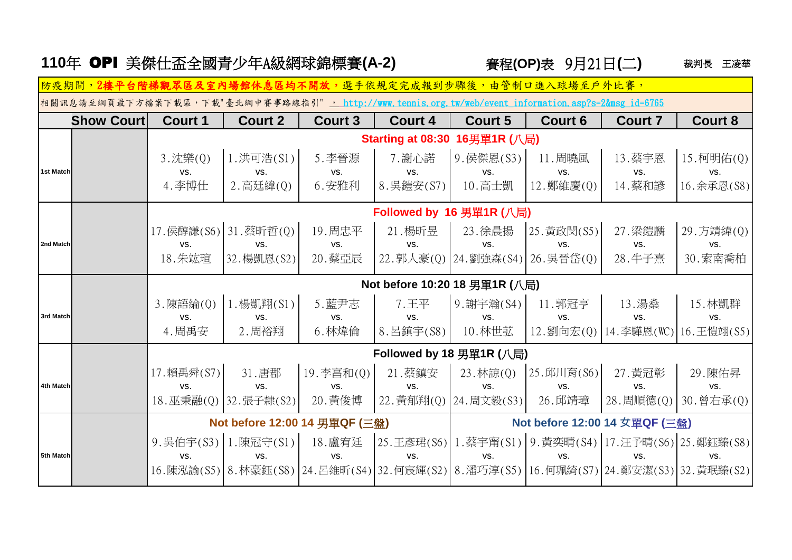|  |  |  | 110年 OPI 美傑仕盃全國青少年A級網球錦標賽(A-2) |  |
|--|--|--|--------------------------------|--|
|--|--|--|--------------------------------|--|

裁判長 王凌華 **|賽程(OP)表 9月21日(二)** 

**Show Court Court 1 Court 2 Court 3 Court 4 Court 5 Court 6 Court 7 Court 8** 3.沈樂(0) │1.洪可浩(S1)│ 5.李晉源 │ 7.謝心諾 │9.侯傑恩(S3)│ 11.周曉風 │ 13.蔡宇恩 │15.柯明佑(0) **1st Match** vs. vs. vs. vs. vs. vs. vs. vs. 4.李博仕 │2.高廷緯(0)│ 6.安雅利 │8.吳鎧安(S7)│ 10.高士凱 │12.鄭維慶(0)│ 14.蔡和諺 │16.余承恩(S8) 17.侯醇謙(S6) 31.蔡昕哲(0) | 19.周忠平 | 21.楊昕昱 | 23.徐晨揚 |25.黃政閔(S5) | 27.梁鍔麟 |29.方靖緯(0) **2nd Match** vs. vs. vs. vs. vs. vs. vs. vs. 18.朱竑瑄 │32.楊凱恩(S2)│ 20.蔡亞辰 │22.郭人豪(O)│24.劉強森(S4)│26.吳晉岱(O)│ 28.牛子熹 │30.索南喬柏 3.陳語綸(Q)│1.楊凱翔(S1)│ 5.藍尹志 │ 7.王平 │9.謝宇瀚(S4)│ 11.郭冠亨 │ 13.湯燊 │ 15.林凱群 **3rd Match** vs. vs. vs. vs. vs. vs. vs. vs. 4.周禹安 │ 2.周裕翔 │ 6.林煒倫 │8.呂鎮宇(S8)│ 10.林世苰 │12.劉向宏(0)│14.李驊恩(WC)│16.王愷翊(S5) 17.賴禹舜(S7) 31.唐郡 │19.李亯和(0) 21.蔡鎮安 │ 23.林諒(0) │25.邱川育(S6) 27.黃冠彰 │ 29.陳佑昇 **4th Match** vs. vs. vs. vs. vs. vs. vs. vs. 18.巫秉融(0) 32.張子隸(S2) 20.黃俊博 22.黃郁翔(0) 24.周文毅(S3) 26.邱靖璋 28.周順德(0) 30.曾右承(0) 9.吳伯宇(S3) 1.陳冠守(S1) | 18.盧宥廷 | 25.王彥珺(S6) | 1.蔡宇甯(S1) | 9.黃奕晴(S4) | 17.汪予晴(S6) | 25.鄭鈺臻(S8) **防疫期間,2樓平台階梯觀眾區及室內場館休息區均不開放,**選手依規定完成報到步驟後,由管制口進入球場至戶外比賽, 相關訊息請至網頁最下方檔案下載區,下載"臺北網中賽事路線指引", http://www.tennis.org.tw/web/event\_information.asp?s=2&msg\_id=6765 **Starting at 08:30 16**男單**1R (**八局**) Followed by 16** 男單**1R (**八局**) Not before 10:20 18** 男單**1R (**八局**) Followed by 18** 男單**1R (**八局**) Not before 12:00 14** 男單**QF (**三盤**) Not before 12:00 14 女**單**QF (**三盤**)**

**5th Match** vs. vs. vs. vs. vs. vs. vs. vs.

16.陳泓諭(S5) 8.林豪鈺(S8) 24.呂維昕(S4) 32.何宸輝(S2) 8.潘巧淳(S5) 16.何珮綺(S7) 24.鄭安潔(S3) 32.黃珉臻(S2)